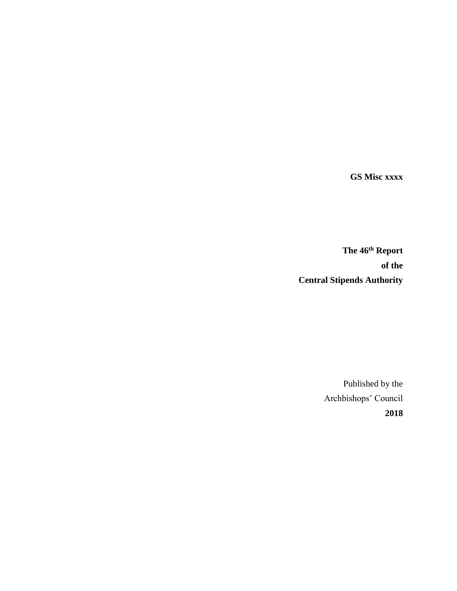**GS Misc xxxx**

**The 46 th Report of the Central Stipends Authority**

> Published by the Archbishops' Council **2018**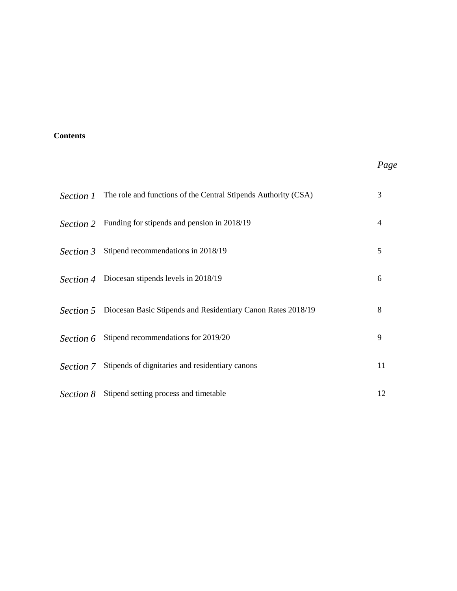# **Contents**

# *Page*

| Section 1        | The role and functions of the Central Stipends Authority (CSA) | 3  |
|------------------|----------------------------------------------------------------|----|
| Section 2        | Funding for stipends and pension in 2018/19                    | 4  |
| Section 3        | Stipend recommendations in 2018/19                             | 5  |
| Section 4        | Diocesan stipends levels in 2018/19                            | 6  |
| <i>Section 5</i> | Diocesan Basic Stipends and Residentiary Canon Rates 2018/19   | 8  |
| Section 6        | Stipend recommendations for 2019/20                            | 9  |
| Section 7        | Stipends of dignitaries and residentiary canons                | 11 |
| Section 8        | Stipend setting process and timetable                          | 12 |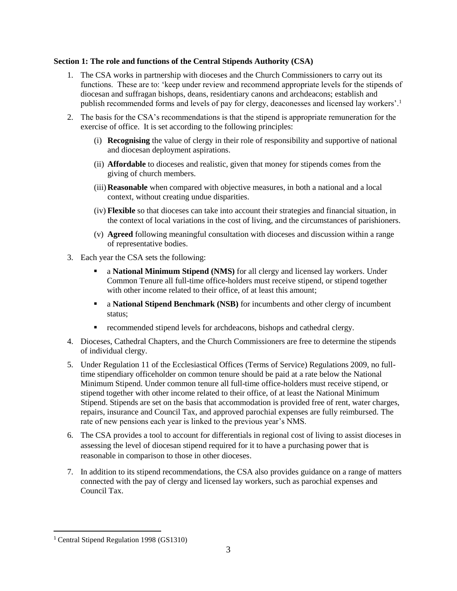## **Section 1: The role and functions of the Central Stipends Authority (CSA)**

- 1. The CSA works in partnership with dioceses and the Church Commissioners to carry out its functions. These are to: 'keep under review and recommend appropriate levels for the stipends of diocesan and suffragan bishops, deans, residentiary canons and archdeacons; establish and publish recommended forms and levels of pay for clergy, deaconesses and licensed lay workers'.<sup>1</sup>
- 2. The basis for the CSA's recommendations is that the stipend is appropriate remuneration for the exercise of office. It is set according to the following principles:
	- (i) **Recognising** the value of clergy in their role of responsibility and supportive of national and diocesan deployment aspirations.
	- (ii) **Affordable** to dioceses and realistic, given that money for stipends comes from the giving of church members.
	- (iii)**Reasonable** when compared with objective measures, in both a national and a local context, without creating undue disparities.
	- (iv) **Flexible** so that dioceses can take into account their strategies and financial situation, in the context of local variations in the cost of living, and the circumstances of parishioners.
	- (v) **Agreed** following meaningful consultation with dioceses and discussion within a range of representative bodies.
- 3. Each year the CSA sets the following:
	- **Example 1 a National Minimum Stipend (NMS)** for all clergy and licensed lay workers. Under Common Tenure all full-time office-holders must receive stipend, or stipend together with other income related to their office, of at least this amount;
	- a **National Stipend Benchmark (NSB)** for incumbents and other clergy of incumbent status:
	- recommended stipend levels for archdeacons, bishops and cathedral clergy.
- 4. Dioceses, Cathedral Chapters, and the Church Commissioners are free to determine the stipends of individual clergy.
- 5. Under Regulation 11 of the Ecclesiastical Offices (Terms of Service) Regulations 2009, no fulltime stipendiary officeholder on common tenure should be paid at a rate below the National Minimum Stipend. Under common tenure all full-time office-holders must receive stipend, or stipend together with other income related to their office, of at least the National Minimum Stipend. Stipends are set on the basis that accommodation is provided free of rent, water charges, repairs, insurance and Council Tax, and approved parochial expenses are fully reimbursed. The rate of new pensions each year is linked to the previous year's NMS.
- 6. The CSA provides a tool to account for differentials in regional cost of living to assist dioceses in assessing the level of diocesan stipend required for it to have a purchasing power that is reasonable in comparison to those in other dioceses.
- 7. In addition to its stipend recommendations, the CSA also provides guidance on a range of matters connected with the pay of clergy and licensed lay workers, such as parochial expenses and Council Tax.

 $\overline{\phantom{a}}$ 

<sup>1</sup> Central Stipend Regulation 1998 (GS1310)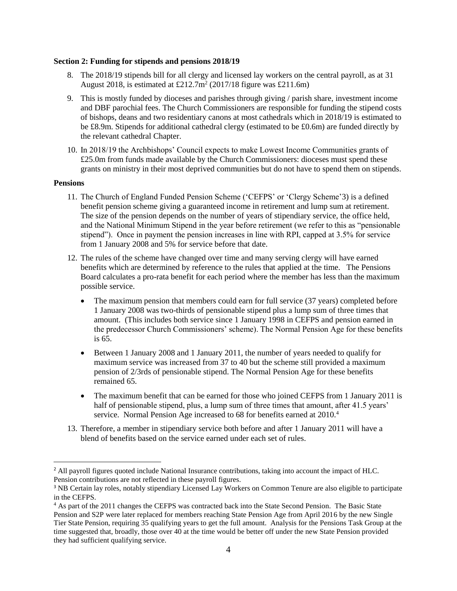### **Section 2: Funding for stipends and pensions 2018/19**

- 8. The 2018/19 stipends bill for all clergy and licensed lay workers on the central payroll, as at 31 August 2018, is estimated at  $£212.7m<sup>2</sup>$  (2017/18 figure was £211.6m)
- 9. This is mostly funded by dioceses and parishes through giving / parish share, investment income and DBF parochial fees. The Church Commissioners are responsible for funding the stipend costs of bishops, deans and two residentiary canons at most cathedrals which in 2018/19 is estimated to be £8.9m. Stipends for additional cathedral clergy (estimated to be £0.6m) are funded directly by the relevant cathedral Chapter.
- 10. In 2018/19 the Archbishops' Council expects to make Lowest Income Communities grants of £25.0m from funds made available by the Church Commissioners: dioceses must spend these grants on ministry in their most deprived communities but do not have to spend them on stipends.

### **Pensions**

 $\overline{\phantom{a}}$ 

- 11. The Church of England Funded Pension Scheme ('CEFPS' or 'Clergy Scheme'3) is a defined benefit pension scheme giving a guaranteed income in retirement and lump sum at retirement. The size of the pension depends on the number of years of stipendiary service, the office held, and the National Minimum Stipend in the year before retirement (we refer to this as "pensionable stipend"). Once in payment the pension increases in line with RPI, capped at 3.5% for service from 1 January 2008 and 5% for service before that date.
- 12. The rules of the scheme have changed over time and many serving clergy will have earned benefits which are determined by reference to the rules that applied at the time. The Pensions Board calculates a pro-rata benefit for each period where the member has less than the maximum possible service.
	- The maximum pension that members could earn for full service (37 years) completed before 1 January 2008 was two-thirds of pensionable stipend plus a lump sum of three times that amount. (This includes both service since 1 January 1998 in CEFPS and pension earned in the predecessor Church Commissioners' scheme). The Normal Pension Age for these benefits is 65.
	- Between 1 January 2008 and 1 January 2011, the number of years needed to qualify for maximum service was increased from 37 to 40 but the scheme still provided a maximum pension of 2/3rds of pensionable stipend. The Normal Pension Age for these benefits remained 65.
	- The maximum benefit that can be earned for those who joined CEFPS from 1 January 2011 is half of pensionable stipend, plus, a lump sum of three times that amount, after 41.5 years' service. Normal Pension Age increased to 68 for benefits earned at 2010.<sup>4</sup>
- 13. Therefore, a member in stipendiary service both before and after 1 January 2011 will have a blend of benefits based on the service earned under each set of rules.

<sup>&</sup>lt;sup>2</sup> All payroll figures quoted include National Insurance contributions, taking into account the impact of HLC. Pension contributions are not reflected in these payroll figures.

<sup>&</sup>lt;sup>3</sup> NB Certain lay roles, notably stipendiary Licensed Lay Workers on Common Tenure are also eligible to participate in the CEFPS.

<sup>&</sup>lt;sup>4</sup> As part of the 2011 changes the CEFPS was contracted back into the State Second Pension. The Basic State Pension and S2P were later replaced for members reaching State Pension Age from April 2016 by the new Single Tier State Pension, requiring 35 qualifying years to get the full amount. Analysis for the Pensions Task Group at the time suggested that, broadly, those over 40 at the time would be better off under the new State Pension provided they had sufficient qualifying service.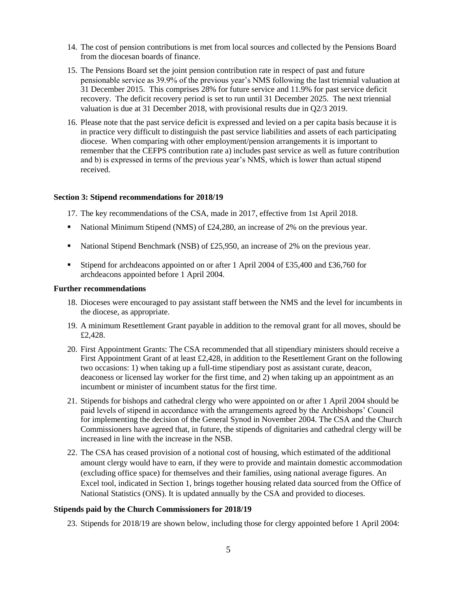- 14. The cost of pension contributions is met from local sources and collected by the Pensions Board from the diocesan boards of finance.
- 15. The Pensions Board set the joint pension contribution rate in respect of past and future pensionable service as 39.9% of the previous year's NMS following the last triennial valuation at 31 December 2015. This comprises 28% for future service and 11.9% for past service deficit recovery. The deficit recovery period is set to run until 31 December 2025. The next triennial valuation is due at 31 December 2018, with provisional results due in Q2/3 2019.
- 16. Please note that the past service deficit is expressed and levied on a per capita basis because it is in practice very difficult to distinguish the past service liabilities and assets of each participating diocese. When comparing with other employment/pension arrangements it is important to remember that the CEFPS contribution rate a) includes past service as well as future contribution and b) is expressed in terms of the previous year's NMS, which is lower than actual stipend received.

### **Section 3: Stipend recommendations for 2018/19**

- 17. The key recommendations of the CSA, made in 2017, effective from 1st April 2018.
- **EXECUTE:** National Minimum Stipend (NMS) of £24,280, an increase of 2% on the previous year.
- National Stipend Benchmark (NSB) of £25,950, an increase of 2% on the previous year.
- **Example 1** Stipend for archdeacons appointed on or after 1 April 2004 of £35,400 and £36,760 for archdeacons appointed before 1 April 2004.

### **Further recommendations**

- 18. Dioceses were encouraged to pay assistant staff between the NMS and the level for incumbents in the diocese, as appropriate.
- 19. A minimum Resettlement Grant payable in addition to the removal grant for all moves, should be £2,428.
- 20. First Appointment Grants: The CSA recommended that all stipendiary ministers should receive a First Appointment Grant of at least  $\text{\pounds}2,428$ , in addition to the Resettlement Grant on the following two occasions: 1) when taking up a full-time stipendiary post as assistant curate, deacon, deaconess or licensed lay worker for the first time, and 2) when taking up an appointment as an incumbent or minister of incumbent status for the first time.
- 21. Stipends for bishops and cathedral clergy who were appointed on or after 1 April 2004 should be paid levels of stipend in accordance with the arrangements agreed by the Archbishops' Council for implementing the decision of the General Synod in November 2004. The CSA and the Church Commissioners have agreed that, in future, the stipends of dignitaries and cathedral clergy will be increased in line with the increase in the NSB.
- 22. The CSA has ceased provision of a notional cost of housing, which estimated of the additional amount clergy would have to earn, if they were to provide and maintain domestic accommodation (excluding office space) for themselves and their families, using national average figures. An Excel tool, indicated in Section 1, brings together housing related data sourced from the Office of National Statistics (ONS). It is updated annually by the CSA and provided to dioceses.

### **Stipends paid by the Church Commissioners for 2018/19**

23. Stipends for 2018/19 are shown below, including those for clergy appointed before 1 April 2004: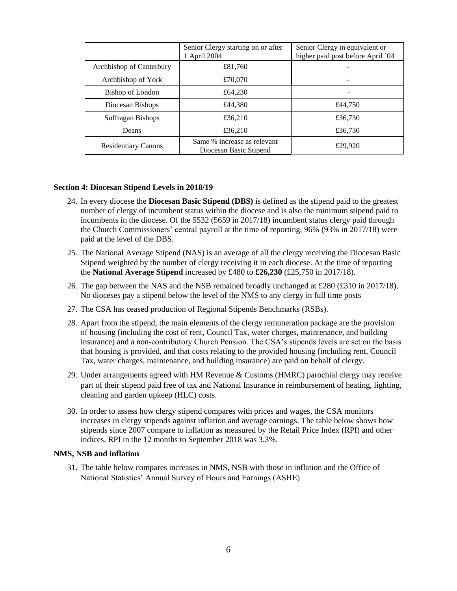|                            | Senior Clergy starting on or after<br>1 April 2004    | Senior Clergy in equivalent or<br>higher paid post before April '04 |  |
|----------------------------|-------------------------------------------------------|---------------------------------------------------------------------|--|
| Archbishop of Canterbury   | £81,760                                               |                                                                     |  |
| Archbishop of York         | £70,070                                               |                                                                     |  |
| Bishop of London           | £64,230                                               |                                                                     |  |
| Diocesan Bishops           | £44,380                                               | £44,750                                                             |  |
| Suffragan Bishops          | £36,210                                               | £36,730                                                             |  |
| Deans                      | £36,210                                               | £36,730                                                             |  |
| <b>Residentiary Canons</b> | Same % increase as relevant<br>Diocesan Basic Stipend | £29,920                                                             |  |

### **Section 4: Diocesan Stipend Levels in 2018/19**

- 24. In every diocese the **Diocesan Basic Stipend (DBS)** is defined as the stipend paid to the greatest number of clergy of incumbent status within the diocese and is also the minimum stipend paid to incumbents in the diocese. Of the 5532 (5659 in 2017/18) incumbent status clergy paid through the Church Commissioners' central payroll at the time of reporting, 96% (93% in 2017/18) were paid at the level of the DBS.
- 25. The National Average Stipend (NAS) is an average of all the clergy receiving the Diocesan Basic Stipend weighted by the number of clergy receiving it in each diocese. At the time of reporting the **National Average Stipend** increased by £480 to **£26,230** (£25,750 in 2017/18).
- 26. The gap between the NAS and the NSB remained broadly unchanged at £280 (£310 in 2017/18). No dioceses pay a stipend below the level of the NMS to any clergy in full time posts
- 27. The CSA has ceased production of Regional Stipends Benchmarks (RSBs).
- 28. Apart from the stipend, the main elements of the clergy remuneration package are the provision of housing (including the cost of rent, Council Tax, water charges, maintenance, and building insurance) and a non-contributory Church Pension. The CSA's stipends levels are set on the basis that housing is provided, and that costs relating to the provided housing (including rent, Council Tax, water charges, maintenance, and building insurance) are paid on behalf of clergy.
- 29. Under arrangements agreed with HM Revenue & Customs (HMRC) parochial clergy may receive part of their stipend paid free of tax and National Insurance in reimbursement of heating, lighting, cleaning and garden upkeep (HLC) costs.
- 30. In order to assess how clergy stipend compares with prices and wages, the CSA monitors increases in clergy stipends against inflation and average earnings. The table below shows how stipends since 2007 compare to inflation as measured by the Retail Price Index (RPI) and other indices. RPI in the 12 months to September 2018 was 3.3%.

#### **NMS, NSB and inflation**

31. The table below compares increases in NMS, NSB with those in inflation and the Office of National Statistics' Annual Survey of Hours and Earnings (ASHE)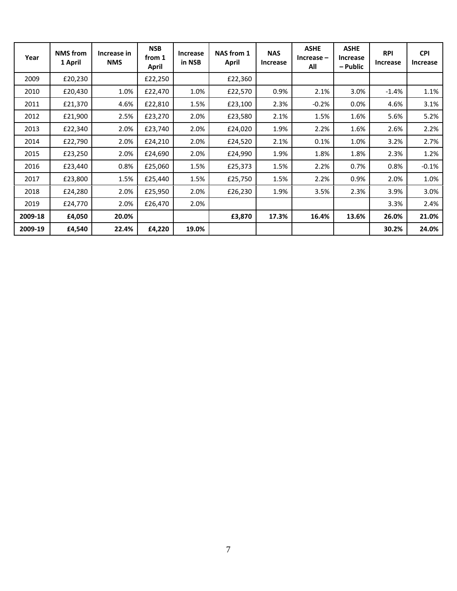| Year    | <b>NMS</b> from<br>1 April | Increase in<br><b>NMS</b> | <b>NSB</b><br>from 1<br><b>April</b> | Increase<br>in NSB | NAS from 1<br>April | <b>NAS</b><br>Increase | <b>ASHE</b><br>$Increase -$<br>All | <b>ASHE</b><br><b>Increase</b><br>– Public | <b>RPI</b><br>Increase | <b>CPI</b><br>Increase |
|---------|----------------------------|---------------------------|--------------------------------------|--------------------|---------------------|------------------------|------------------------------------|--------------------------------------------|------------------------|------------------------|
| 2009    | £20,230                    |                           | £22,250                              |                    | £22,360             |                        |                                    |                                            |                        |                        |
| 2010    | £20,430                    | 1.0%                      | £22,470                              | 1.0%               | £22,570             | 0.9%                   | 2.1%                               | 3.0%                                       | $-1.4%$                | 1.1%                   |
| 2011    | £21,370                    | 4.6%                      | £22,810                              | 1.5%               | £23,100             | 2.3%                   | $-0.2%$                            | $0.0\%$                                    | 4.6%                   | 3.1%                   |
| 2012    | £21,900                    | 2.5%                      | £23,270                              | 2.0%               | £23,580             | 2.1%                   | 1.5%                               | 1.6%                                       | 5.6%                   | 5.2%                   |
| 2013    | £22,340                    | 2.0%                      | £23,740                              | 2.0%               | £24,020             | 1.9%                   | 2.2%                               | 1.6%                                       | 2.6%                   | 2.2%                   |
| 2014    | £22,790                    | 2.0%                      | £24,210                              | 2.0%               | £24,520             | 2.1%                   | 0.1%                               | 1.0%                                       | 3.2%                   | 2.7%                   |
| 2015    | £23,250                    | 2.0%                      | £24,690                              | 2.0%               | £24,990             | 1.9%                   | 1.8%                               | 1.8%                                       | 2.3%                   | 1.2%                   |
| 2016    | £23,440                    | 0.8%                      | £25,060                              | 1.5%               | £25,373             | 1.5%                   | 2.2%                               | 0.7%                                       | 0.8%                   | $-0.1%$                |
| 2017    | £23,800                    | 1.5%                      | £25,440                              | 1.5%               | £25,750             | 1.5%                   | 2.2%                               | 0.9%                                       | 2.0%                   | 1.0%                   |
| 2018    | £24,280                    | 2.0%                      | £25,950                              | 2.0%               | £26,230             | 1.9%                   | 3.5%                               | 2.3%                                       | 3.9%                   | 3.0%                   |
| 2019    | £24,770                    | 2.0%                      | £26,470                              | 2.0%               |                     |                        |                                    |                                            | 3.3%                   | 2.4%                   |
| 2009-18 | £4,050                     | 20.0%                     |                                      |                    | £3,870              | 17.3%                  | 16.4%                              | 13.6%                                      | 26.0%                  | 21.0%                  |
| 2009-19 | £4,540                     | 22.4%                     | £4,220                               | 19.0%              |                     |                        |                                    |                                            | 30.2%                  | 24.0%                  |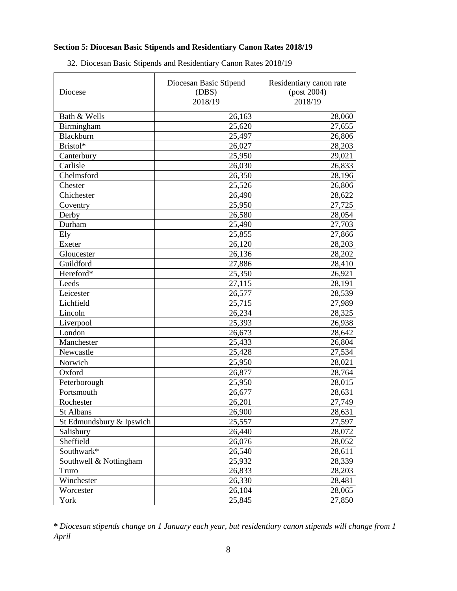# **Section 5: Diocesan Basic Stipends and Residentiary Canon Rates 2018/19**

| Diocese                  | Diocesan Basic Stipend<br>(DBS)<br>2018/19 | Residentiary canon rate<br>(post 2004)<br>2018/19 |  |
|--------------------------|--------------------------------------------|---------------------------------------------------|--|
| Bath & Wells             | 26,163                                     | 28,060                                            |  |
| Birmingham               | 25,620                                     | 27,655                                            |  |
| Blackburn                | 25,497                                     | 26,806                                            |  |
| Bristol*                 | 26,027                                     | 28,203                                            |  |
| Canterbury               | 25,950                                     | 29,021                                            |  |
| Carlisle                 | 26,030                                     | 26,833                                            |  |
| Chelmsford               | 26,350                                     | 28,196                                            |  |
| Chester                  | 25,526                                     | 26,806                                            |  |
| Chichester               | 26,490                                     | 28,622                                            |  |
| Coventry                 | 25,950                                     | 27,725                                            |  |
| Derby                    | 26,580                                     | 28,054                                            |  |
| Durham                   | 25,490                                     | 27,703                                            |  |
| Ely                      | 25,855                                     | 27,866                                            |  |
| Exeter                   | 26,120                                     | 28,203                                            |  |
| Gloucester               | 26,136                                     | 28,202                                            |  |
| Guildford                | 27,886                                     | 28,410                                            |  |
| Hereford*                | 25,350                                     | 26,921                                            |  |
| Leeds                    | 27,115                                     | 28,191                                            |  |
| Leicester                | 26,577                                     | 28,539                                            |  |
| Lichfield                | 25,715                                     | 27,989                                            |  |
| Lincoln                  | 26,234                                     | 28,325                                            |  |
| Liverpool                | 25,393                                     | 26,938                                            |  |
| London                   | 26,673                                     | 28,642                                            |  |
| Manchester               | 25,433                                     | 26,804                                            |  |
| Newcastle                | 25,428                                     | 27,534                                            |  |
| Norwich                  | 25,950                                     | 28,021                                            |  |
| Oxford                   | 26,877                                     | 28,764                                            |  |
| Peterborough             | 25,950                                     | 28,015                                            |  |
| Portsmouth               | 26,677                                     | 28,631                                            |  |
| Rochester                | 26,201                                     | 27,749                                            |  |
| St Albans                | 26,900                                     | 28,631                                            |  |
| St Edmundsbury & Ipswich | 25,557                                     | 27,597                                            |  |
| Salisbury                | 26,440                                     | 28,072                                            |  |
| Sheffield                | 26,076                                     | 28,052                                            |  |
| Southwark*               | 26,540                                     | 28,611                                            |  |
| Southwell & Nottingham   | 25,932                                     | 28,339                                            |  |
| Truro                    | 26,833                                     | 28,203                                            |  |
| Winchester               | 26,330                                     | 28,481                                            |  |
| Worcester                | 26,104                                     | 28,065                                            |  |
| York                     | 25,845                                     | 27,850                                            |  |

32. Diocesan Basic Stipends and Residentiary Canon Rates 2018/19

**\*** *Diocesan stipends change on 1 January each year, but residentiary canon stipends will change from 1 April*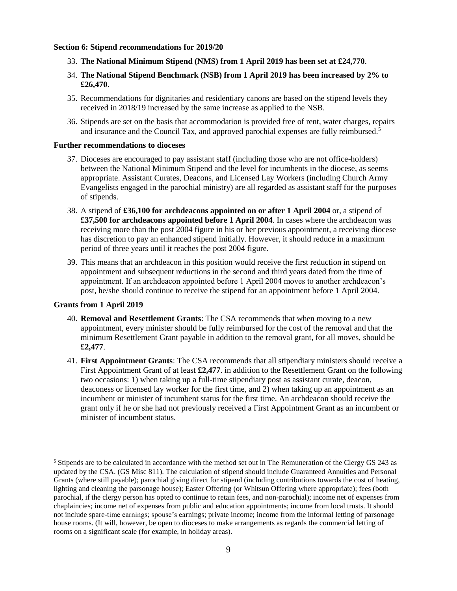### **Section 6: Stipend recommendations for 2019/20**

- 33. **The National Minimum Stipend (NMS) from 1 April 2019 has been set at £24,770**.
- 34. **The National Stipend Benchmark (NSB) from 1 April 2019 has been increased by 2% to £26,470**.
- 35. Recommendations for dignitaries and residentiary canons are based on the stipend levels they received in 2018/19 increased by the same increase as applied to the NSB.
- 36. Stipends are set on the basis that accommodation is provided free of rent, water charges, repairs and insurance and the Council Tax, and approved parochial expenses are fully reimbursed.<sup>5</sup>

#### **Further recommendations to dioceses**

- 37. Dioceses are encouraged to pay assistant staff (including those who are not office-holders) between the National Minimum Stipend and the level for incumbents in the diocese, as seems appropriate. Assistant Curates, Deacons, and Licensed Lay Workers (including Church Army Evangelists engaged in the parochial ministry) are all regarded as assistant staff for the purposes of stipends.
- 38. A stipend of **£36,100 for archdeacons appointed on or after 1 April 2004** or, a stipend of **£37,500 for archdeacons appointed before 1 April 2004**. In cases where the archdeacon was receiving more than the post 2004 figure in his or her previous appointment, a receiving diocese has discretion to pay an enhanced stipend initially. However, it should reduce in a maximum period of three years until it reaches the post 2004 figure.
- 39. This means that an archdeacon in this position would receive the first reduction in stipend on appointment and subsequent reductions in the second and third years dated from the time of appointment. If an archdeacon appointed before 1 April 2004 moves to another archdeacon's post, he/she should continue to receive the stipend for an appointment before 1 April 2004.

### **Grants from 1 April 2019**

 $\overline{a}$ 

- 40. **Removal and Resettlement Grants**: The CSA recommends that when moving to a new appointment, every minister should be fully reimbursed for the cost of the removal and that the minimum Resettlement Grant payable in addition to the removal grant, for all moves, should be **£2,477**.
- 41. **First Appointment Grants**: The CSA recommends that all stipendiary ministers should receive a First Appointment Grant of at least **£2,477**. in addition to the Resettlement Grant on the following two occasions: 1) when taking up a full-time stipendiary post as assistant curate, deacon, deaconess or licensed lay worker for the first time, and 2) when taking up an appointment as an incumbent or minister of incumbent status for the first time. An archdeacon should receive the grant only if he or she had not previously received a First Appointment Grant as an incumbent or minister of incumbent status.

<sup>5</sup> Stipends are to be calculated in accordance with the method set out in The Remuneration of the Clergy GS 243 as updated by the CSA. (GS Misc 811). The calculation of stipend should include Guaranteed Annuities and Personal Grants (where still payable); parochial giving direct for stipend (including contributions towards the cost of heating, lighting and cleaning the parsonage house); Easter Offering (or Whitsun Offering where appropriate); fees (both parochial, if the clergy person has opted to continue to retain fees, and non-parochial); income net of expenses from chaplaincies; income net of expenses from public and education appointments; income from local trusts. It should not include spare-time earnings; spouse's earnings; private income; income from the informal letting of parsonage house rooms. (It will, however, be open to dioceses to make arrangements as regards the commercial letting of rooms on a significant scale (for example, in holiday areas).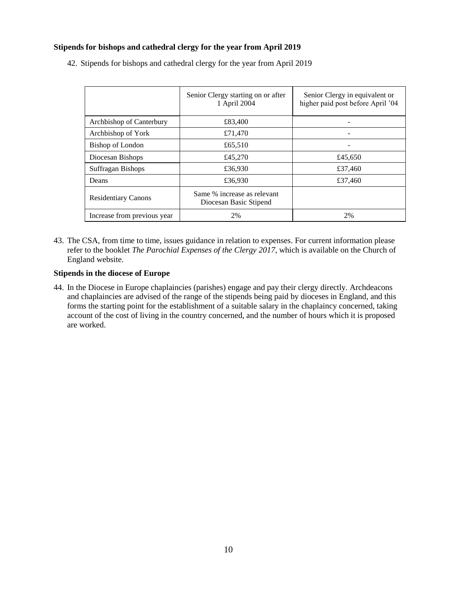# **Stipends for bishops and cathedral clergy for the year from April 2019**

|                             | Senior Clergy starting on or after<br>1 April 2004    | Senior Clergy in equivalent or<br>higher paid post before April '04 |
|-----------------------------|-------------------------------------------------------|---------------------------------------------------------------------|
| Archbishop of Canterbury    | £83,400                                               |                                                                     |
| Archbishop of York          | £71,470                                               |                                                                     |
| Bishop of London            | £65,510                                               |                                                                     |
| Diocesan Bishops            | £45,270                                               | £45,650                                                             |
| Suffragan Bishops           | £36,930                                               | £37,460                                                             |
| Deans                       | £36,930                                               | £37,460                                                             |
| <b>Residentiary Canons</b>  | Same % increase as relevant<br>Diocesan Basic Stipend |                                                                     |
| Increase from previous year | 2%                                                    | 2%                                                                  |

42. Stipends for bishops and cathedral clergy for the year from April 2019

43. The CSA, from time to time, issues guidance in relation to expenses. For current information please refer to the booklet *The Parochial Expenses of the Clergy 2017*, which is available on the Church of England website.

### **Stipends in the diocese of Europe**

44. In the Diocese in Europe chaplaincies (parishes) engage and pay their clergy directly. Archdeacons and chaplaincies are advised of the range of the stipends being paid by dioceses in England, and this forms the starting point for the establishment of a suitable salary in the chaplaincy concerned, taking account of the cost of living in the country concerned, and the number of hours which it is proposed are worked.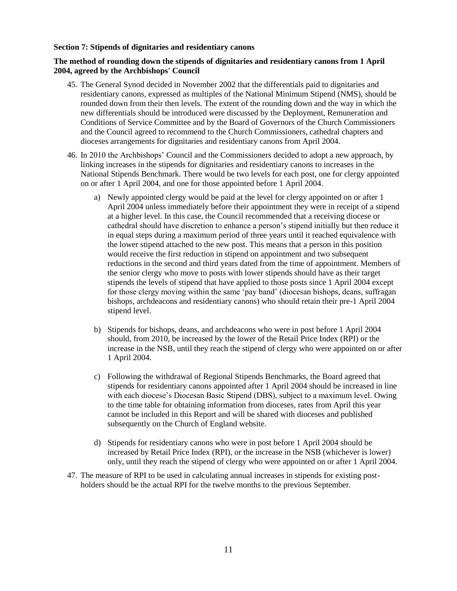### **Section 7: Stipends of dignitaries and residentiary canons**

### **The method of rounding down the stipends of dignitaries and residentiary canons from 1 April 2004, agreed by the Archbishops' Council**

- 45. The General Synod decided in November 2002 that the differentials paid to dignitaries and residentiary canons, expressed as multiples of the National Minimum Stipend (NMS), should be rounded down from their then levels. The extent of the rounding down and the way in which the new differentials should be introduced were discussed by the Deployment, Remuneration and Conditions of Service Committee and by the Board of Governors of the Church Commissioners and the Council agreed to recommend to the Church Commissioners, cathedral chapters and dioceses arrangements for dignitaries and residentiary canons from April 2004.
- 46. In 2010 the Archbishops' Council and the Commissioners decided to adopt a new approach, by linking increases in the stipends for dignitaries and residentiary canons to increases in the National Stipends Benchmark. There would be two levels for each post, one for clergy appointed on or after 1 April 2004, and one for those appointed before 1 April 2004.
	- a) Newly appointed clergy would be paid at the level for clergy appointed on or after 1 April 2004 unless immediately before their appointment they were in receipt of a stipend at a higher level. In this case, the Council recommended that a receiving diocese or cathedral should have discretion to enhance a person's stipend initially but then reduce it in equal steps during a maximum period of three years until it reached equivalence with the lower stipend attached to the new post. This means that a person in this position would receive the first reduction in stipend on appointment and two subsequent reductions in the second and third years dated from the time of appointment. Members of the senior clergy who move to posts with lower stipends should have as their target stipends the levels of stipend that have applied to those posts since 1 April 2004 except for those clergy moving within the same 'pay band' (diocesan bishops, deans, suffragan bishops, archdeacons and residentiary canons) who should retain their pre-1 April 2004 stipend level.
	- b) Stipends for bishops, deans, and archdeacons who were in post before 1 April 2004 should, from 2010, be increased by the lower of the Retail Price Index (RPI) or the increase in the NSB, until they reach the stipend of clergy who were appointed on or after 1 April 2004.
	- c) Following the withdrawal of Regional Stipends Benchmarks, the Board agreed that stipends for residentiary canons appointed after 1 April 2004 should be increased in line with each diocese's Diocesan Basic Stipend (DBS), subject to a maximum level. Owing to the time table for obtaining information from dioceses, rates from April this year cannot be included in this Report and will be shared with dioceses and published subsequently on the Church of England website.
	- d) Stipends for residentiary canons who were in post before 1 April 2004 should be increased by Retail Price Index (RPI), or the increase in the NSB (whichever is lower) only, until they reach the stipend of clergy who were appointed on or after 1 April 2004.
- 47. The measure of RPI to be used in calculating annual increases in stipends for existing postholders should be the actual RPI for the twelve months to the previous September.